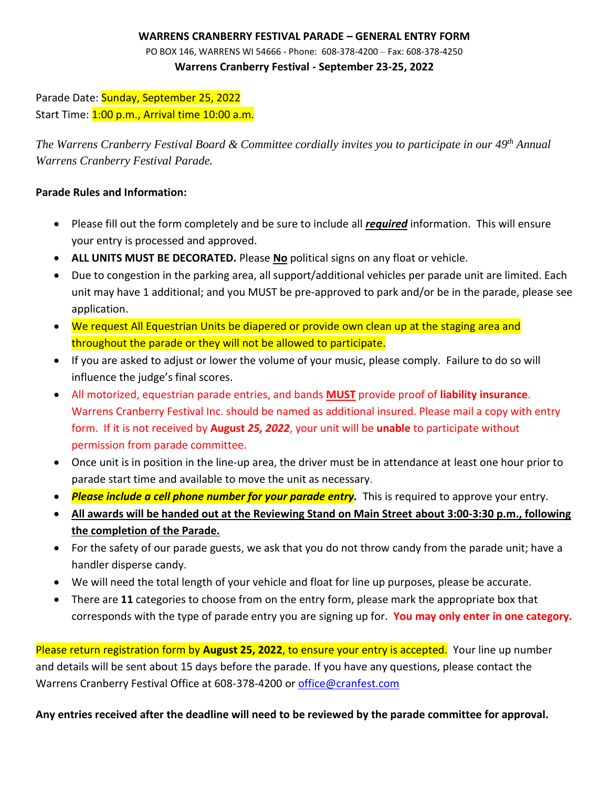## **WARRENS CRANBERRY FESTIVAL PARADE – GENERAL ENTRY FORM**

PO BOX 146, WARRENS WI 54666 - Phone: 608-378-4200 – Fax: 608-378-4250 **Warrens Cranberry Festival - September 23-25, 2022**

Parade Date: Sunday, September 25, 2022 Start Time: 1:00 p.m., Arrival time 10:00 a.m.

*The Warrens Cranberry Festival Board & Committee cordially invites you to participate in our 49 th Annual Warrens Cranberry Festival Parade.* 

## **Parade Rules and Information:**

- Please fill out the form completely and be sure to include all *required* information. This will ensure your entry is processed and approved.
- **ALL UNITS MUST BE DECORATED.** Please **No** political signs on any float or vehicle.
- Due to congestion in the parking area, all support/additional vehicles per parade unit are limited. Each unit may have 1 additional; and you MUST be pre-approved to park and/or be in the parade, please see application.
- We request All Equestrian Units be diapered or provide own clean up at the staging area and throughout the parade or they will not be allowed to participate.
- If you are asked to adjust or lower the volume of your music, please comply. Failure to do so will influence the judge's final scores.
- All motorized, equestrian parade entries, and bands **MUST** provide proof of **liability insurance**. Warrens Cranberry Festival Inc. should be named as additional insured. Please mail a copy with entry form. If it is not received by **August** *25, 2022*, your unit will be **unable** to participate without permission from parade committee.
- Once unit is in position in the line-up area, the driver must be in attendance at least one hour prior to parade start time and available to move the unit as necessary.
- *Please include a cell phone number for your parade entry.* This is required to approve your entry.
- **All awards will be handed out at the Reviewing Stand on Main Street about 3:00-3:30 p.m., following the completion of the Parade.**
- For the safety of our parade guests, we ask that you do not throw candy from the parade unit; have a handler disperse candy.
- We will need the total length of your vehicle and float for line up purposes, please be accurate.
- There are **11** categories to choose from on the entry form, please mark the appropriate box that corresponds with the type of parade entry you are signing up for. **You may only enter in one category.**

Please return registration form by **August 25, 2022**, to ensure your entry is accepted. Your line up number and details will be sent about 15 days before the parade. If you have any questions, please contact the Warrens Cranberry Festival Office at 608-378-4200 or [office@cranfest.com](mailto:office@cranfest.com)

**Any entries received after the deadline will need to be reviewed by the parade committee for approval.**